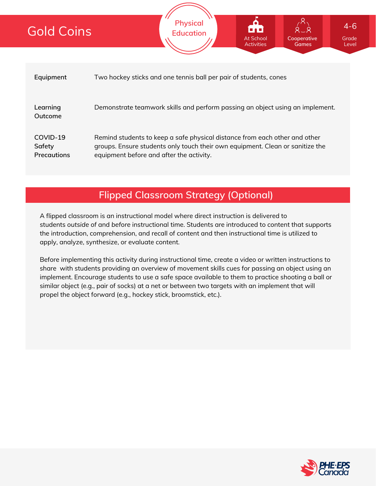# Gold Coins

| Equipment                         | Two hockey sticks and one tennis ball per pair of students, cones                                                                                                                                       |
|-----------------------------------|---------------------------------------------------------------------------------------------------------------------------------------------------------------------------------------------------------|
| Learning<br>Outcome               | Demonstrate teamwork skills and perform passing an object using an implement.                                                                                                                           |
| COVID-19<br>Safety<br>Precautions | Remind students to keep a safe physical distance from each other and other<br>groups. Ensure students only touch their own equipment. Clean or sanitize the<br>equipment before and after the activity. |

**Physical Education**

## **Flipped Classroom Strategy (Optional)**

A flipped classroom is an instructional model where direct instruction is delivered to students *outside of* and *before* instructional time. Students are introduced to content that supports the introduction, comprehension, and recall of content and then instructional time is utilized to apply, analyze, synthesize, or evaluate content.

Before implementing this activity during instructional time, create a video or written instructions to share with students providing an overview of movement skills cues for passing an object using an implement. Encourage students to use a safe space available to them to practice shooting a ball or similar object (e.g., pair of socks) at a net or between two targets with an implement that will propel the object forward (e.g., hockey stick, broomstick, etc.).



Grade Level

**Cooperative Games**

At School Activities 4-6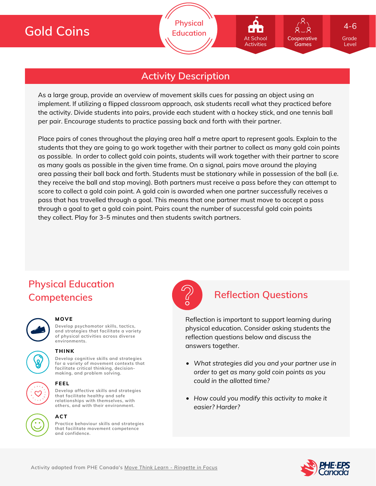Grade 4-6

Level

## **Activity Description**

As a large group, provide an overview of movement skills cues for passing an object using an implement. If utilizing a flipped classroom approach, ask students recall what they practiced before the activity. Divide students into pairs, provide each student with a hockey stick, and one tennis ball per pair. Encourage students to practice passing back and forth with their partner.

Place pairs of cones throughout the playing area half a metre apart to represent goals. Explain to the students that they are going to go work together with their partner to collect as many gold coin points as possible. In order to collect gold coin points, students will work together with their partner to score as many goals as possible in the given time frame. On a signal, pairs move around the playing area passing their ball back and forth. Students must be stationary while in possession of the ball (i.e. they receive the ball and stop moving). Both partners must receive a pass before they can attempt to score to collect a gold coin point. A gold coin is awarded when one partner successfully receives a pass that has travelled through a goal. This means that one partner must move to accept a pass through a goal to get a gold coin point. Pairs count the number of successful gold coin points they collect. Play for 3–5 minutes and then students switch partners.

# **Physical Education Competencies Reflection Questions**



### **MOVE**

**Develop psychomotor skills, tactics, and strategies that facilitate a variety of physical activities across diverse environments.**



### **THINK**

**Develop cognitive skills and strategies for a variety of movement contexts that facilitate critical thinking, decision making, and problem solving.**



### **FEEL**

**Develop affective skills and strategies that facilitate healthy and safe relationships with themselves, with others, and with their environment.**



**Practice behaviour skills and strategies that facilitate movement competence and confidence.**



Reflection is important to support learning during physical education. Consider asking students the reflection questions below and discuss the answers together.

- *What strategies did you and your partner use in order to get as many gold coin points as you could in the allotted time?*
- *How could you modify this activity to make it easier? Harder?*